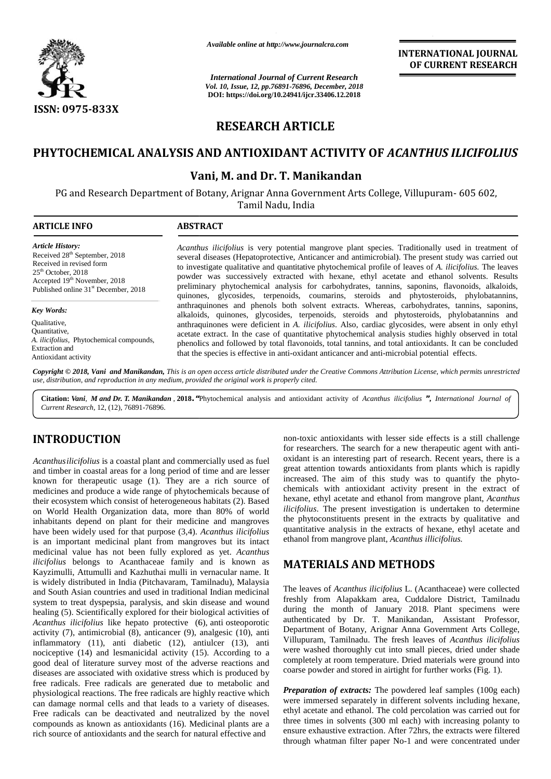

*Available online at http://www.journalcra.com*

*International Journal of Current Research of Vol. 10, Issue, 12, pp.76891-76896, December, 2018* **DOI: https://doi.org/10.24941/ijcr.33406.12.2018** *International Journal of Current Research*<br>
Vol. 10, Issue, 12, pp.76891-76896, December, 2018<br>
DOI: https://doi.org/10.24941/ijcr.33406.12.2018

**INTERNATIONAL JOURNAL OF CURRENT RESEARCH**

# **RESEARCH ARTICLE RESEARCH**

# **PHYTOCHEMICAL ANALYSIS AND ANTIOXIDANT ACTIVITY OF** *ACANTHUS ILICIFOLIUS* **ANTIOXIDANT** *ACANTHUS ILICIFOLIUS*

# **Vani, M. and Dr. T. Manikandan and**

PG and Research Department of Botany, Arignar Anna Government Arts College, Villupuram- 605 602,

Tamil Nadu, India

| <b>ARTICLE INFO</b>                                                                                                                                                                                          | <b>ABSTRACT</b>                                                                                                                                                                                                                                                                                                                                                                                                                                                                                                                                                                                                             |  |  |  |  |
|--------------------------------------------------------------------------------------------------------------------------------------------------------------------------------------------------------------|-----------------------------------------------------------------------------------------------------------------------------------------------------------------------------------------------------------------------------------------------------------------------------------------------------------------------------------------------------------------------------------------------------------------------------------------------------------------------------------------------------------------------------------------------------------------------------------------------------------------------------|--|--|--|--|
| <b>Article History:</b><br>Received 28 <sup>th</sup> September, 2018<br>Received in revised form<br>$25th$ October, 2018<br>Accepted 19th November, 2018<br>Published online 31 <sup>st</sup> December, 2018 | Acanthus ilicifolius is very potential mangrove plant species. Traditionally used in treatment of<br>several diseases (Hepatoprotective, Anticancer and antimicrobial). The present study was carried out<br>to investigate qualitative and quantitative phytochemical profile of leaves of A. <i>ilicifolius</i> . The leaves<br>powder was successively extracted with hexane, ethyl acetate and ethanol solvents. Results<br>preliminary phytochemical analysis for carbohydrates, tannins, saponins, flavonoids, alkaloids,<br>quinones, glycosides, terpenoids, coumarins, steroids and phytosteroids, phylobatannins, |  |  |  |  |
| Key Words:                                                                                                                                                                                                   | anthraquinones and phenols both solvent extracts. Whereas, carbohydrates, tannins, saponins,<br>alkaloids, quinones, glycosides, terpenoids, steroids and phytosteroids, phylobatannins and                                                                                                                                                                                                                                                                                                                                                                                                                                 |  |  |  |  |
| Qualitative,<br>Quantitative,<br>A. <i>ilicifolius</i> , Phytochemical compounds,<br><b>Extraction</b> and<br>Antioxidant activity                                                                           | anthraquinones were deficient in A. <i>ilicifolius</i> . Also, cardiac glycosides, were absent in only ethyl<br>acetate extract. In the case of quantitative phytochemical analysis studies highly observed in total<br>phenolics and followed by total flavonoids, total tannins, and total antioxidants. It can be concluded<br>that the species is effective in anti-oxidant anticancer and anti-microbial potential effects.                                                                                                                                                                                            |  |  |  |  |
|                                                                                                                                                                                                              | Copyright © 2018, Vani and Manikandan, This is an open access article distributed under the Creative Commons Attribution License, which permits unrestricted<br>use, distribution, and reproduction in any medium, provided the original work is properly cited.                                                                                                                                                                                                                                                                                                                                                            |  |  |  |  |

# **INTRODUCTION INTRODUCTION**

*Acanthusilicifolius* is a coastal plant and commercially used as fuel and timber in coastal areas for a long period of time and are lesser known for therapeutic usage (1). They are a rich source of medicines and produce a wide range of phytochemicals because of their ecosystem which consist of heterogeneous habitats (2). Based on World Health Organization data, more than 80% of world inhabitants depend on plant for their medicine and mangroves have been widely used for that purpose (3,4). *Acanthus ilicifolius* is an important medicinal plant from mangroves but its intact medicinal value has not been fully explored as yet. *Acanthus ilicifolius* belongs to Acanthaceae family and is known as Kayzimulli, Attumulli and Kazhuthai mulli in vernacular name. It is widely distributed in India (Pitchavaram, Tamilnadu), Malaysia and South Asian countries and used in traditional Indian medicinal system to treat dyspepsia, paralysis, and skin disease and wound healing (5). Scientifically explored for their biological activities of *Acanthus ilicifolius* like hepato protective (6), anti osteoporotic authority activity (7), antimicrobial (8), anticancer (9), analgesic (10), anti inflammatory  $(11)$ , anti diabetic  $(12)$ , antiulcer  $(13)$ , anti nociceptive (14) and lesmanicidal activity (15). According to a good deal of literature survey most of the adverse reactions and diseases are associated with oxidative stress which is produced by free radicals. Free radicals are generated due to metabolic and physiological reactions. The free radicals are highly reactive which can damage normal cells and that leads to a variety of diseases. Free radicals can be deactivated and neutralized by the novel compounds as known as antioxidants (16). Medicinal plants are a rich source of antioxidants and the search for natural effective and Acanthus ilicifolius is a coastal plant and commercially used as fuel<br>and timber in coastal areas for a long period of time and are lesser<br>known for therapeutic usage (1). They are a rich source of<br>medicines and produce a **FRODUCTION**<br>
for researches a set of fitsending in the commercially used as fit adverse research sec as a sublicating<br>threating for a constant plant and commercially used as fit advant is an interesting part of research. mportant medicinal plant<br>al value has not been fi<br>as belongs to Acanthace<br>ulli, Attumulli and Kazhuu<br>y distributed in India (Pite<br>th Asian countries and use<br>to treat dyspepsia, paralys

non-toxic antioxidants with lesser side effects is a still challenge for researchers. The search for a new therapeutic agent with anti oxidant is an interesting part of research. Recent years, there is a great attention towards antioxidants from plants which is rapidly increased. The aim of this study was to quantify the phyto chemicals with antioxidant activity present in the extract of hexane, ethyl acetate and ethanol from mangrove plant, *Acanthus ilicifolius*. The present investigation is undertaken to determine the phytoconstituents present in the extracts by qualitative and quantitative analysis in the extracts of hexane, ethyl acetate and ethanol from mangrove plant, *Acanthus illicifolius*. ethanol from mangrove plant, *Acanthus illicifolius.* for researchers. The search for a new therapeutic agent with anti-<br>oxidant is an interesting part of research. Recent years, there is a<br>great attention towards antioxidants from plants which is rapidly<br>increased. The aim o

# **MATERIALS AND METHODS MATERIALS AND**

The leaves of *Acanthus ilicifolius* L. (Acanthaceae) were collected freshly from Alapakkam area, Cuddalore District, Tamilnadu quantitative analysis in the extracts of hexane, ethyl acetate and<br>
ethanol from mangrove plant, *Acanthus illicifolius*.<br> **MATERIALS AND METHODS**<br>
The leaves of *Acanthus ilicifolius* L. (Acanthaceae) were collected<br>
fres authenticated by Dr. T. Manikandan, Assistant Professor, Department of Botany, Arignar Anna Government Arts College, Villupuram, Tamilnadu. The fresh leaves of *Acanthus ilicifolius* were washed thoroughly cut into small pieces, dried under shade completely at room temperature. Dried materials were ground into coarse powder and stored in airtight for further works (Fig. 1). by Dr. T. Manikandan, Assistant Professor,<br>Of Botany, Arignar Anna Government Arts College,<br>Tamilnadu. The fresh leaves of Acanthus ilicifolius

*Preparation of extracts:* The powdered leaf samples (100g each) *Preparation* were immersed separately in different solvents including hexane, ethyl acetate and ethanol. The cold percolation was carried out for three times in solvents (300 ml each) with increasing polanty to ensure exhaustive extraction. After 72hrs, the extracts were filtered through whatman filter paper No-1 and were concentrated under d stored in airtight for further works (Fig. 1).<br> *ctracts:* The powdered leaf samples (100g each)<br>
eparately in different solvents including hexane,<br>
ethanol. The cold percolation was carried out for<br>
lyents (300 ml eac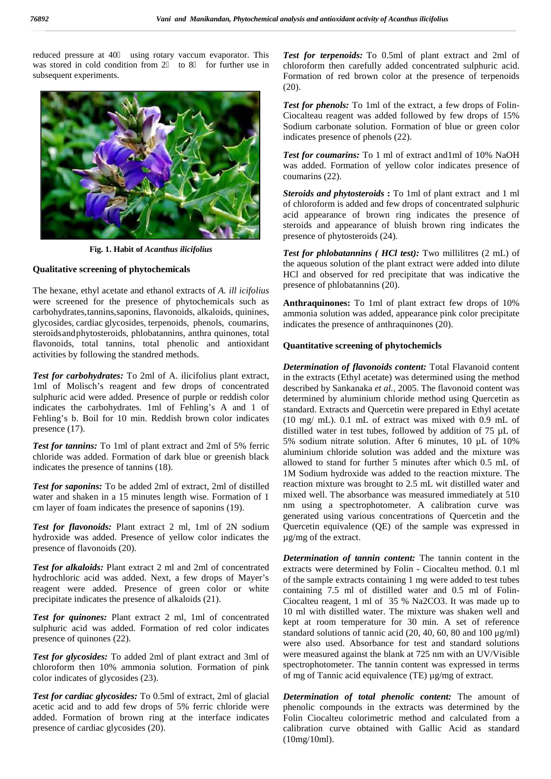reduced pressure at 40 using rotary vaccum evaporator. This was stored in cold condition from 2 to 8 for further use in subsequent experiments.



**Fig. 1. Habit of** *Acanthus ilicifolius*

### **Qualitative screening of phytochemicals**

The hexane, ethyl acetate and ethanol extracts of *A. ill icifolius* were screened for the presence of phytochemicals such as carbohydrates,tannins,saponins, flavonoids, alkaloids, quinines, glycosides, cardiac glycosides, terpenoids, phenols, coumarins, steroidsandphytosteroids, phlobatannins, anthra quinones, total flavonoids, total tannins, total phenolic and antioxidant activities by following the standred methods.

*Test for carbohydrates:* To 2ml of A. ilicifolius plant extract, 1ml of Molisch's reagent and few drops of concentrated sulphuric acid were added. Presence of purple or reddish color indicates the carbohydrates. 1ml of Fehling's A and 1 of Fehling's b. Boil for 10 min. Reddish brown color indicates presence (17).

*Test for tannins:* To 1ml of plant extract and 2ml of 5% ferric chloride was added. Formation of dark blue or greenish black indicates the presence of tannins (18).

*Test for saponins:* To be added 2ml of extract, 2ml of distilled water and shaken in a 15 minutes length wise. Formation of 1 cm layer of foam indicates the presence of saponins (19).

*Test for flavonoids:* Plant extract 2 ml, 1ml of 2N sodium hydroxide was added. Presence of yellow color indicates the presence of flavonoids (20).

*Test for alkaloids:* Plant extract 2 ml and 2ml of concentrated hydrochloric acid was added. Next, a few drops of Mayer's reagent were added. Presence of green color or white precipitate indicates the presence of alkaloids (21).

*Test for quinones:* Plant extract 2 ml, 1ml of concentrated sulphuric acid was added. Formation of red color indicates presence of quinones (22).

*Test for glycosides:* To added 2ml of plant extract and 3ml of chloroform then 10% ammonia solution. Formation of pink color indicates of glycosides (23).

*Test for cardiac glycosides:* To 0.5ml of extract, 2ml of glacial acetic acid and to add few drops of 5% ferric chloride were added. Formation of brown ring at the interface indicates presence of cardiac glycosides (20).

*Test for terpenoids:* To 0.5ml of plant extract and 2ml of chloroform then carefully added concentrated sulphuric acid. Formation of red brown color at the presence of terpenoids (20).

*Test for phenols:* To 1ml of the extract, a few drops of Folin- Ciocalteau reagent was added followed by few drops of 15% Sodium carbonate solution. Formation of blue or green color indicates presence of phenols (22).

*Test for coumarins:* To 1 ml of extract and1ml of 10% NaOH was added. Formation of yellow color indicates presence of coumarins (22).

*Steroids and phytosteroids* **:** To 1ml of plant extract and 1 ml of chloroform is added and few drops of concentrated sulphuric acid appearance of brown ring indicates the presence of steroids and appearance of bluish brown ring indicates the presence of phytosteroids (24).

*Test for phlobatannins ( HCl test):* Two millilitres (2 mL) of the aqueous solution of the plant extract were added into dilute HCl and observed for red precipitate that was indicative the presence of phlobatannins (20).

**Anthraquinones:** To 1ml of plant extract few drops of 10% ammonia solution was added, appearance pink color precipitate indicates the presence of anthraquinones (20).

## **Quantitative screening of phytochemicls**

*Determination of flavonoids content:* Total Flavanoid content in the extracts (Ethyl acetate) was determined using the method described by Sankanaka *et al.,* 2005. The flavonoid content was determined by aluminium chloride method using Quercetin as standard. Extracts and Quercetin were prepared in Ethyl acetate (10 mg/ mL). 0.1 mL of extract was mixed with 0.9 mL of distilled water in test tubes, followed by addition of 75 µL of 5% sodium nitrate solution. After 6 minutes, 10 µL of 10% aluminium chloride solution was added and the mixture was allowed to stand for further 5 minutes after which 0.5 mL of 1M Sodium hydroxide was added to the reaction mixture. The reaction mixture was brought to 2.5 mL wit distilled water and mixed well. The absorbance was measured immediately at 510 nm using a spectrophotometer. A calibration curve was generated using various concentrations of Quercetin and the Quercetin equivalence (QE) of the sample was expressed in µg/mg of the extract.

*Determination of tannin content:* The tannin content in the extracts were determined by Folin - Ciocalteu method. 0.1 ml of the sample extracts containing 1 mg were added to test tubes containing 7.5 ml of distilled water and 0.5 ml of Folin- Ciocalteu reagent, 1 ml of 35 % Na2CO3. It was made up to 10 ml with distilled water. The mixture was shaken well and kept at room temperature for 30 min. A set of reference standard solutions of tannic acid (20, 40, 60, 80 and 100 μg/ml) were also used. Absorbance for test and standard solutions were measured against the blank at 725 nm with an UV/Visible spectrophotometer. The tannin content was expressed in terms of mg of Tannic acid equivalence (TE) µg/mg of extract.

*Determination of total phenolic content:* The amount of phenolic compounds in the extracts was determined by the Folin Ciocalteu colorimetric method and calculated from a calibration curve obtained with Gallic Acid as standard (10mg/10ml).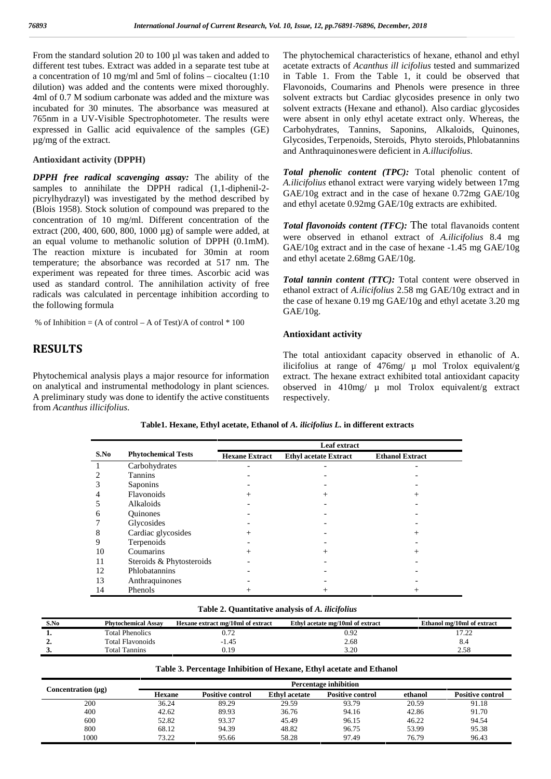From the standard solution 20 to 100 µl was taken and added to different test tubes. Extract was added in a separate test tube at a concentration of 10 mg/ml and 5ml of folins – ciocalteu (1:10 dilution) was added and the contents were mixed thoroughly. 4ml of 0.7 M sodium carbonate was added and the mixture was incubated for 30 minutes. The absorbance was measured at 765nm in a UV-Visible Spectrophotometer. The results were expressed in Gallic acid equivalence of the samples (GE) µg/mg of the extract.

## **Antioxidant activity (DPPH)**

*DPPH free radical scavenging assay:* The ability of the samples to annihilate the DPPH radical (1,1-diphenil-2 picrylhydrazyl) was investigated by the method described by (Blois 1958). Stock solution of compound was prepared to the concentration of 10 mg/ml. Different concentration of the extract (200, 400, 600, 800, 1000 µg) of sample were added, at an equal volume to methanolic solution of DPPH (0.1mM). The reaction mixture is incubated for 30min at room temperature; the absorbance was recorded at 517 nm. The experiment was repeated for three times. Ascorbic acid was used as standard control. The annihilation activity of free radicals was calculated in percentage inhibition according to the following formula

% of Inhibition =  $(A \text{ of control} - A \text{ of Test})/A$  of control  $*100$ 

## **RESULTS**

Phytochemical analysis plays a major resource for information on analytical and instrumental methodology in plant sciences. A preliminary study was done to identify the active constituents from *Acanthus illicifolius*.

The phytochemical characteristics of hexane, ethanol and ethyl acetate extracts of *Acanthus ill icifolius* tested and summarized in Table 1. From the Table 1, it could be observed that Flavonoids, Coumarins and Phenols were presence in three solvent extracts but Cardiac glycosides presence in only two solvent extracts (Hexane and ethanol). Also cardiac glycosides were absent in only ethyl acetate extract only. Whereas, the Carbohydrates, Tannins, Saponins, Alkaloids, Quinones, Glycosides,Terpenoids, Steroids, Phyto steroids,Phlobatannins and Anthraquinoneswere deficient in *A.illucifolius*.

*Total phenolic content (TPC):* Total phenolic content of *A.ilicifolius* ethanol extract were varying widely between 17mg GAE/10g extract and in the case of hexane 0.72mg GAE/10g and ethyl acetate 0.92mg GAE/10g extracts are exhibited.

*Total flavonoids content (TFC):* The total flavanoids content were observed in ethanol extract of *A.ilicifolius* 8.4 mg GAE/10g extract and in the case of hexane -1.45 mg GAE/10g and ethyl acetate 2.68mg GAE/10g.

*Total tannin content (TTC):* Total content were observed in ethanol extract of *A.ilicifolius* 2.58 mg GAE/10g extract and in the case of hexane 0.19 mg GAE/10g and ethyl acetate 3.20 mg GAE/10g.

#### **Antioxidant activity**

The total antioxidant capacity observed in ethanolic of A. ilicifolius at range of  $476$ mg/  $\mu$  mol Trolox equivalent/g extract. The hexane extract exhibited total antioxidant capacity observed in 410mg/ µ mol Trolox equivalent/g extract respectively.

|      |                            | Leaf extract          |                              |                        |  |  |
|------|----------------------------|-----------------------|------------------------------|------------------------|--|--|
| S.No | <b>Phytochemical Tests</b> | <b>Hexane Extract</b> | <b>Ethyl acetate Extract</b> | <b>Ethanol Extract</b> |  |  |
|      | Carbohydrates              |                       |                              |                        |  |  |
|      | <b>Tannins</b>             |                       |                              |                        |  |  |
|      | Saponins                   |                       |                              |                        |  |  |
|      | Flavonoids                 |                       |                              |                        |  |  |
|      | Alkaloids                  |                       |                              |                        |  |  |
| 6    | <b>Ouinones</b>            |                       |                              |                        |  |  |
|      | Glycosides                 |                       |                              |                        |  |  |
| 8    | Cardiac glycosides         |                       |                              |                        |  |  |
| 9    | Terpenoids                 |                       |                              |                        |  |  |
| 10   | Coumarins                  | $^{+}$                | $\pm$                        |                        |  |  |
| 11   | Steroids & Phytosteroids   |                       |                              |                        |  |  |
| 12   | Phlobatannins              |                       |                              |                        |  |  |
| 13   | Anthraquinones             |                       |                              |                        |  |  |
| 14   | Phenols                    |                       |                              |                        |  |  |

#### **Table1. Hexane, Ethyl acetate, Ethanol of** *A. ilicifolius L.* **in different extracts**

#### **Table 2. Quantitative analysis of** *A. ilicifolius*

| S.No | <b>Phytochemical Assay</b> | Hexane extract mg/10ml of extract | Ethyl acetate mg/10ml of extract | Ethanol mg/10ml of extract |
|------|----------------------------|-----------------------------------|----------------------------------|----------------------------|
|      | <b>Total Phenolics</b>     |                                   | 0.92                             | .                          |
| – ⊷  | <b>Total Flavonoids</b>    | 1.45                              | 2.68                             | ∪.¬                        |
| ◡    | Total Tannins              | , 1 C                             | 3.20                             |                            |

#### **Table 3. Percentage Inhibition of Hexane, Ethyl acetate and Ethanol**

|                    | <b>Percentage inhibition</b> |                         |                      |                         |         |                         |
|--------------------|------------------------------|-------------------------|----------------------|-------------------------|---------|-------------------------|
| Concentration (µg) | <b>Hexane</b>                | <b>Positive control</b> | <b>Ethyl</b> acetate | <b>Positive control</b> | ethanol | <b>Positive control</b> |
| 200                | 36.24                        | 89.29                   | 29.59                | 93.79                   | 20.59   | 91.18                   |
| 400                | 42.62                        | 89.93                   | 36.76                | 94.16                   | 42.86   | 91.70                   |
| 600                | 52.82                        | 93.37                   | 45.49                | 96.15                   | 46.22   | 94.54                   |
| 800                | 68.12                        | 94.39                   | 48.82                | 96.75                   | 53.99   | 95.38                   |
| 1000               | 73.22                        | 95.66                   | 58.28                | 97.49                   | 76.79   | 96.43                   |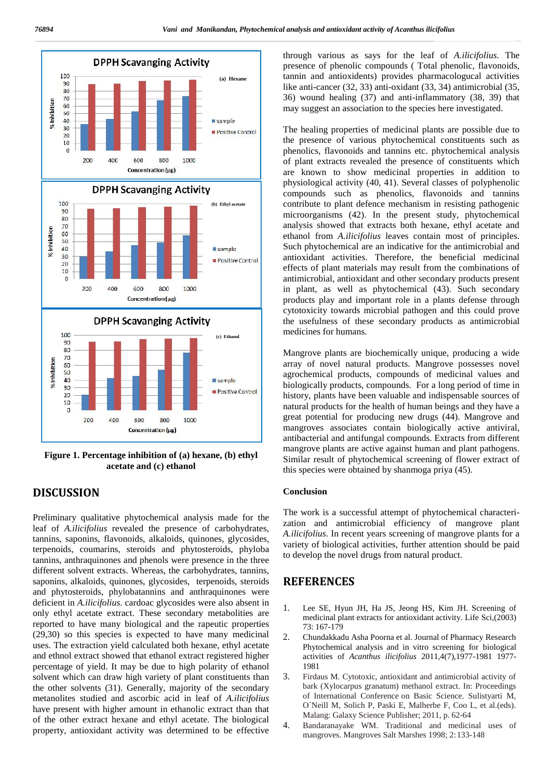

**Figure 1. Percentage inhibition of (a) hexane, (b) ethyl acetate and (c) ethanol**

# **DISCUSSION**

Preliminary qualitative phytochemical analysis made for the leaf of *A.ilicifolius* revealed the presence of carbohydrates, tannins, saponins, flavonoids, alkaloids, quinones, glycosides, terpenoids, coumarins, steroids and phytosteroids, phyloba tannins, anthraquinones and phenols were presence in the three different solvent extracts. Whereas, the carbohydrates, tannins, saponins, alkaloids, quinones, glycosides, terpenoids, steroids and phytosteroids, phylobatannins and anthraquinones were deficient in *A.ilicifolius*. cardoac glycosides were also absent in only ethyl acetate extract. These secondary metabolities are reported to have many biological and the rapeutic properties  $(29,30)$  so this species is expected to have many medicinal  $\overline{2}$ . uses. The extraction yield calculated both hexane, ethyl acetate and ethnol extract showed that ethanol extract registered higher percentage of yield. It may be due to high polarity of ethanol solvent which can draw high variety of plant constituents than 3. the other solvents (31). Generally, majority of the secondary metanolites studied and ascorbic acid in leaf of *A.ilicifolius* have present with higher amount in ethanolic extract than that of the other extract hexane and ethyl acetate. The biological property, antioxidant activity was determined to be effective

through various as says for the leaf of *A.ilicifolius*. The presence of phenolic compounds ( Total phenolic, flavonoids, tannin and antioxidents) provides pharmacologucal activities like anti-cancer (32, 33) anti-oxidant (33, 34) antimicrobial (35, 36) wound healing (37) and anti-inflammatory (38, 39) that may suggest an association to the species here investigated.

The healing properties of medicinal plants are possible due to the presence of various phytochemical constituents such as phenolics, flavonoids and tannins etc. phytochemical analysis of plant extracts revealed the presence of constituents which are known to show medicinal properties in addition to physiological activity (40, 41). Several classes of polyphenolic compounds such as phenolics, flavonoids and tannins contribute to plant defence mechanism in resisting pathogenic microorganisms (42). In the present study, phytochemical analysis showed that extracts both hexane, ethyl acetate and ethanol from *A.ilicifolius* leaves contain most of principles. Such phytochemical are an indicative for the antimicrobial and antioxidant activities. Therefore, the beneficial medicinal effects of plant materials may result from the combinations of antimicrobial, antioxidant and other secondary products present in plant, as well as phytochemical (43). Such secondary products play and important role in a plants defense through cytotoxicity towards microbial pathogen and this could prove the usefulness of these secondary products as antimicrobial medicines for humans.

Mangrove plants are biochemically unique, producing a wide array of novel natural products. Mangrove possesses novel agrochemical products, compounds of medicinal values and biologically products, compounds. For a long period of time in history, plants have been valuable and indispensable sources of natural products for the health of human beings and they have a great potential for producing new drugs (44). Mangrove and mangroves associates contain biologically active antiviral, antibacterial and antifungal compounds. Extracts from different mangrove plants are active against human and plant pathogens. Similar result of phytochemical screening of flower extract of this species were obtained by shanmoga priya (45).

## **Conclusion**

The work is a successful attempt of phytochemical characteri zation and antimicrobial efficiency of mangrove plant *A.ilicifolius*. In recent years screening of mangrove plants for a variety of biological activities, further attention should be paid to develop the novel drugs from natural product.

## **REFERENCES**

- 1. Lee SE, Hyun JH, Ha JS, Jeong HS, Kim JH. Screening of medicinal plant extracts for antioxidant activity. Life Sci,(2003) 73: 167-179
- 2. Chundakkadu Asha Poorna et al. Journal of Pharmacy Research Phytochemical analysis and in vitro screening for biological activities of *Acanthus ilicifolius* 2011,4(7),1977-1981 1977- 1981
- 3. Firdaus M. Cytotoxic, antioxidant and antimicrobial activity of bark (Xylocarpus granatum) methanol extract. In: Proceedings of International Conference on Basic Science. Sulistyarti M, O`Neill M, Solich P, Paski E, Malherbe F, Coo L, et al.(eds). Malang: Galaxy Science Publisher; 2011, p. 62-64
- 4. Bandaranayake WM. Traditional and medicinal uses of mangroves. Mangroves Salt Marshes 1998; 2:133-148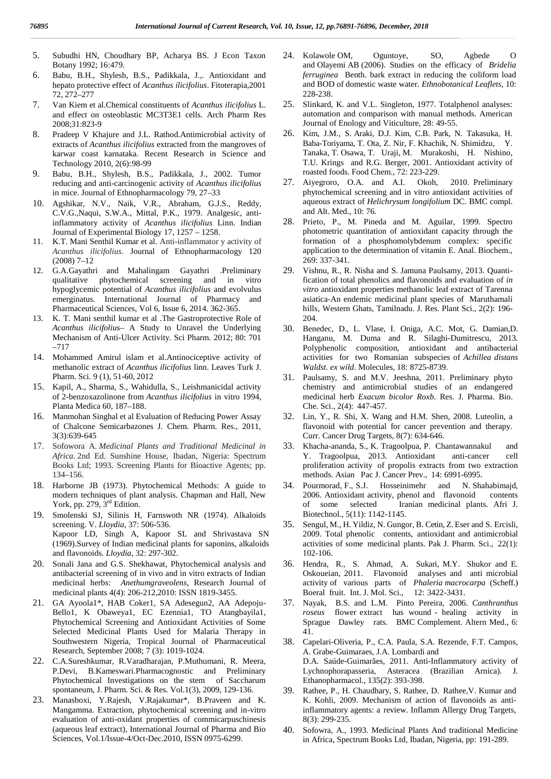- 5. Subudhi HN, Choudhary BP, Acharya BS. J Econ Taxon Botany 1992; 16:479.
- 6. Babu, B.H., Shylesh, B.S., Padikkala, J.,. Antioxidant and hepato protective effect of *Acanthus ilicifolius*. Fitoterapia,2001 72, 272–277
- 7. Van Kiem et al.Chemical constituents of *Acanthus ilicifolius* L. and effect on osteoblastic MC3T3E1 cells. Arch Pharm Res 2008;31:823-9
- 8. Pradeep V Khajure and J.L. Rathod.Antimicrobial activity of extracts of *Acanthus ilicifolius* extracted from the mangroves of karwar coast karnataka. Recent Research in Science and Technology 2010, 2(6):98-99
- 9. Babu, B.H., Shylesh, B.S., Padikkala, J., 2002. Tumor reducing and anti-carcinogenic activity of *Acanthus ilicifolius* in mice. Journal of Ethnopharmacology 79, 27–33
- 10. Agshikar, N.V., Naik, V.R., Abraham, G.J.S., Reddy, C.V.G.,Naqui, S.W.A., Mittal, P.K., 1979. Analgesic, antiinflammatory activity of *Acanthus ilicifolius* Linn. Indian Journal of Experimental Biology 17, 1257 – 1258.
- 11. K.T. Mani Senthil Kumar et al. Anti-inflammator y activity of *Acanthus ilicifolius*. Journal of Ethnopharmacology 120 (2008) 7–12
- 12. G.A.Gayathri and Mahalingam Gayathri .Preliminary qualitative phytochemical screening and in vitro hypoglycemic potential of *Acanthus ilicifolius* and evolvulus emerginatus. International Journal of Pharmacy and Pharmaceutical Sciences, Vol 6, Issue 6, 2014. 362-365.
- 13. K. T. Mani senthil kumar et al .The Gastroprotective Role of *Acanthus ilicifolius*– A Study to Unravel the Underlying Mechanism of Anti-Ulcer Activity. Sci Pharm. 2012; 80: 701 –717
- 14. Mohammed Amirul islam et al.Antinociceptive activity of methanolic extract of *Acanthus ilicifolius* linn. Leaves Turk J. Pharm. Sci. 9 (1), 51-60, 2012
- 15. Kapil, A., Sharma, S., Wahidulla, S., Leishmanicidal activity of 2-benzoxazolinone from *Acanthus ilicifolius* in vitro 1994, Planta Medica 60, 187–188.
- 16. Manmohan Singhal et al Evaluation of Reducing Power Assay of Chalcone Semicarbazones J. Chem. Pharm. Res., 2011, 3(3):639-645
- 17. Sofowora A. *Medicinal Plants and Traditional Medicinal in Africa.* 2nd Ed. Sunshine House, Ibadan, Nigeria: Spectrum Books Ltd; 1993. Screening Plants for Bioactive Agents; pp. 134–156.
- 18. Harborne JB (1973). Phytochemical Methods: A guide to modern techniques of plant analysis. Chapman and Hall, New York, pp. 279, 3<sup>rd</sup> Edition.
- 19. Smolenski SJ, Silinis H, Farnswoth NR (1974). Alkaloids screening. V. *Lloydia*, 37: 506-536. Kapoor LD, Singh A, Kapoor SL and Shrivastava SN (1969).Survey of Indian medicinal plants for saponins, alkaloids and flavonoids. *Lloydia*, 32: 297-302.
- 20. Sonali Jana and G.S. Shekhawat, Phytochemical analysis and antibacterial screening of in vivo and in vitro extracts of Indian medicinal herbs: *Anethumgraveolens*, Research Journal of medicinal plants 4(4): 206-212,2010: ISSN 1819-3455.
- 21. GA Ayoola1\*, HAB Coker1, SA Adesegun2, AA Adepoju- Bello1, K Obaweya1, EC Ezennia1, TO Atangbayila1, Phytochemical Screening and Antioxidant Activities of Some Selected Medicinal Plants Used for Malaria Therapy in Southwestern Nigeria, Tropical Journal of Pharmaceutical Research, September 2008; 7 (3): 1019-1024.
- 22. C.A.Sureshkumar, R.Varadharajan, P.Muthumani, R. Meera, P.Devi, B.Kameswari.Pharmacognostic and Preliminary Phytochemical Investigations on the stem of Saccharum spontaneum, J. Pharm. Sci. & Res. Vol.1(3), 2009, 129-136.
- Manasboxi, Y.Rajesh, V.Rajakumar\*, B.Praveen and K. Mangamma. Extraction, phytochemical screening and in-vitro evaluation of anti-oxidant properties of commicarpuschinesis (aqueous leaf extract), International Journal of Pharma and Bio Sciences, Vol.1/Issue-4/Oct-Dec.2010, ISSN 0975-6299.
- 24. Kolawole OM, Oguntoye, SO, Agbede O and Olayemi AB (2006). Studies on the efficacy of *Bridelia ferruginea* Benth. bark extract in reducing the coliform load and BOD of domestic waste water. *Ethnobotanical Leaflets*, 10: 228-238.
- 25. Slinkard, K. and V.L. Singleton, 1977. Totalphenol analyses: automation and comparison with manual methods. American Journal of Enology and Viticulture, 28: 49-55.
- 26. Kim, J.M., S. Araki, D.J. Kim, C.B. Park, N. Takasuka, H. Baba-Toriyama, T. Ota, Z. Nir, F. Khachik, N. Shimidzu, Y. Tanaka, T. Osawa, T. Uraji, M. Murakoshi, H. Nishino, T.U. Krings and R.G. Berger, 2001. Antioxidant activity of roasted foods. Food Chem., 72: 223-229.
- 27. Aiyegroro, O.A. and A.I. Okoh, 2010. Preliminary phytochemical screening and in vitro antioxidant activities of aqueous extract of *Helichrysum longifolium* DC. BMC compl. and Alt. Med., 10: 76.
- 28. Prieto, P., M. Pineda and M. Aguilar, 1999. Spectro photometric quantitation of antioxidant capacity through the formation of a phosphomolybdenum complex: specific application to the determination of vitamin E. Anal. Biochem., 269: 337-341.
- 29. Vishnu, R., R. Nisha and S. Jamuna Paulsamy, 2013. Quantification of total phenolics and flavonoids and evaluation of *in vitro* antioxidant properties methanolic leaf extract of Tarenna asiatica-An endemic medicinal plant species of Maruthamali hills, Western Ghats, Tamilnadu. J. Res. Plant Sci., 2(2): 196- 204.
- 30. Benedec, D., L. Vlase, I. Oniga, A.C. Mot, G. Damian,D. Hanganu, M. Duma and R. Silaghi-Dumitrescu, 2013. Polyphenolic composition, antioxidant and antibacterial activities for two Romanian subspecies of *Achillea distans Waldst. ex wild*. Molecules, 18: 8725-8739.
- 31. Paulsamy, S. and M.V. Jeeshna, 2011. Preliminary phyto chemistry and antimicrobial studies of an endangered medicinal herb *Exacum bicolor Roxb*. Res. J. Pharma. Bio. Che. Sci., 2(4): 447-457.
- 32. Lin, Y., R. Shi, X. Wang and H.M. Shen, 2008. Luteolin, a flavonoid with potential for cancer prevention and therapy. Curr. Cancer Drug Targets, 8(7): 634-646.
- Khacha-ananda, S., K. Tragoolpua, P. Chantawannakul and Y. Tragoolpua, 2013. Antioxidant anti-cancer cell proliferation activity of propolis extracts from two extraction methods. Asian Pac J. Cancer Prev., 14: 6991-6995.
- 34. Pourmorad, F., S.J. Hosseinimehr and N. Shahabimajd, 2006. Antioxidant activity, phenol and flavonoid contents of some selected Iranian medicinal plants. Afri J. Biotechnol., 5(11): 1142-1145.
- 35. Sengul, M., H. Yildiz, N. Gungor, B. Cetin, Z. Eser and S. Ercisli, 2009. Total phenolic contents, antioxidant and antimicrobial activities of some medicinal plants. Pak J. Pharm. Sci., 22(1): 102-106.
- 36. Hendra, R., S. Ahmad, A. Sukari, M.Y. Shukor and E. Oskoueian, 2011. Flavonoid analyses and anti microbial activity of various parts of *Phaleria macrocarpa* (Scheff.) Boeral fruit. Int. J. Mol. Sci., 12: 3422-3431.
- 37. Nayak, B.S. and L.M. Pinto Pereira, 2006. *Canthranthus roseus* flower extract has wound - healing activity in Sprague Dawley rats. BMC Complement. Altern Med., 6: 41.
- 38. Capelari-Oliveria, P., C.A. Paula, S.A. Rezende, F.T. Campos, A. Grabe-Guimaraes, J.A. Lombardi and D.A. Saúde-Guimarães, 2011. Anti-Inflammatory activity of Lychnophorapasseria, Asteracea (Brazilian Arnica). J. Ethanopharmacol., 135(2): 393-398.
- 39. Rathee, P., H. Chaudhary, S. Rathee, D. Rathee,V. Kumar and K. Kohli, 2009. Mechanism of action of flavonoids as antiinflammatory agents: a review. Inflamm Allergy Drug Targets, 8(3): 299-235.
- 40. Sofowra, A., 1993. Medicinal Plants And traditional Medicine in Africa, Spectrum Books Ltd, Ibadan, Nigeria, pp: 191-289.